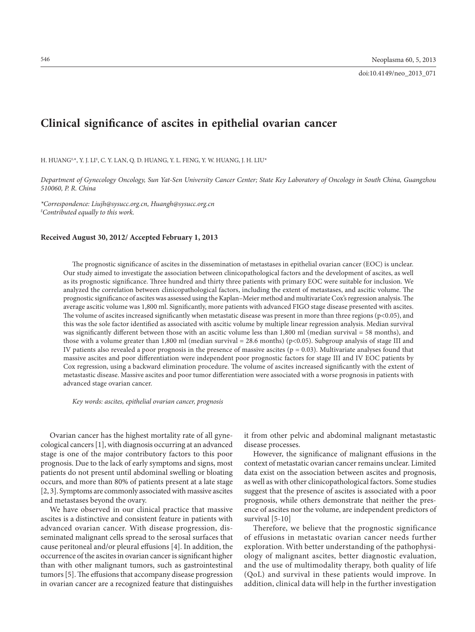# **Clinical significance of ascites in epithelial ovarian cancer**

H. HUANG‡,\*, Y. J. LI‡ , C. Y. LAN, Q. D. HUANG, Y. L. FENG, Y. W. HUANG, J. H. LIU\*

*Department of Gynecology Oncology, Sun Yat-Sen University Cancer Center; State Key Laboratory of Oncology in South China, Guangzhou 510060, P. R. China*

*\*Correspondence: Liujh@sysucc.org.cn, Huangh@sysucc.org.cn ‡ Contributed equally to this work.*

#### **Received August 30, 2012/ Accepted February 1, 2013**

The prognostic significance of ascites in the dissemination of metastases in epithelial ovarian cancer (EOC) is unclear. Our study aimed to investigate the association between clinicopathological factors and the development of ascites, as well as its prognostic significance. Three hundred and thirty three patients with primary EOC were suitable for inclusion. We analyzed the correlation between clinicopathological factors, including the extent of metastases, and ascitic volume. The prognostic significance of ascites was assessed using the Kaplan–Meier method and multivariate Cox's regression analysis. The average ascitic volume was 1,800 ml. Significantly, more patients with advanced FIGO stage disease presented with ascites. The volume of ascites increased significantly when metastatic disease was present in more than three regions (p<0.05), and this was the sole factor identified as associated with ascitic volume by multiple linear regression analysis. Median survival was significantly different between those with an ascitic volume less than 1,800 ml (median survival = 58 months), and those with a volume greater than 1,800 ml (median survival  $= 28.6$  months) (p<0.05). Subgroup analysis of stage III and IV patients also revealed a poor prognosis in the presence of massive ascites  $(p = 0.03)$ . Multivariate analyses found that massive ascites and poor differentiation were independent poor prognostic factors for stage III and IV EOC patients by Cox regression, using a backward elimination procedure. The volume of ascites increased significantly with the extent of metastastic disease. Massive ascites and poor tumor differentiation were associated with a worse prognosis in patients with advanced stage ovarian cancer.

*Key words: ascites, epithelial ovarian cancer, prognosis* 

Ovarian cancer has the highest mortality rate of all gynecological cancers [1], with diagnosis occurring at an advanced stage is one of the major contributory factors to this poor prognosis. Due to the lack of early symptoms and signs, most patients do not present until abdominal swelling or bloating occurs, and more than 80% of patients present at a late stage [2, 3]. Symptoms are commonly associated with massive ascites and metastases beyond the ovary.

We have observed in our clinical practice that massive ascites is a distinctive and consistent feature in patients with advanced ovarian cancer. With disease progression, disseminated malignant cells spread to the serosal surfaces that cause peritoneal and/or pleural effusions [4]. In addition, the occurrence of the ascites in ovarian cancer is significant higher than with other malignant tumors, such as gastrointestinal tumors [5]. The effusions that accompany disease progression in ovarian cancer are a recognized feature that distinguishes

it from other pelvic and abdominal malignant metastastic disease processes.

However, the significance of malignant effusions in the context of metastatic ovarian cancer remains unclear. Limited data exist on the association between ascites and prognosis, as well as with other clinicopathological factors. Some studies suggest that the presence of ascites is associated with a poor prognosis, while others demonstrate that neither the presence of ascites nor the volume, are independent predictors of survival [5-10]

Therefore, we believe that the prognostic significance of effusions in metastatic ovarian cancer needs further exploration. With better understanding of the pathophysiology of malignant ascites, better diagnostic evaluation, and the use of multimodality therapy, both quality of life (QoL) and survival in these patients would improve. In addition, clinical data will help in the further investigation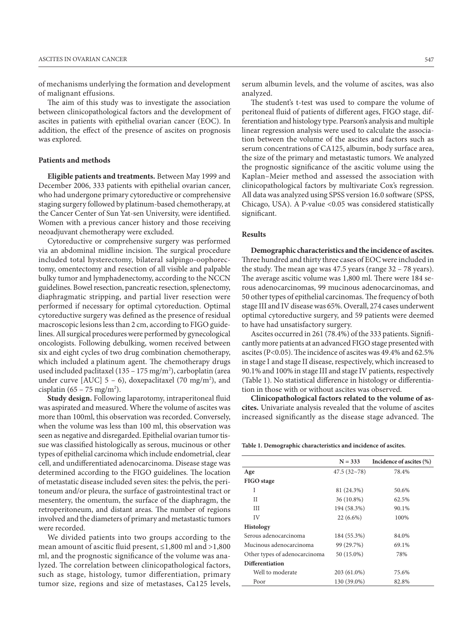of mechanisms underlying the formation and development of malignant effusions.

The aim of this study was to investigate the association between clinicopathological factors and the development of ascites in patients with epithelial ovarian cancer (EOC). In addition, the effect of the presence of ascites on prognosis was explored.

## **Patients and methods**

**Eligible patients and treatments.** Between May 1999 and December 2006, 333 patients with epithelial ovarian cancer, who had undergone primary cytoreductive or comprehensive staging surgery followed by platinum-based chemotherapy, at the Cancer Center of Sun Yat-sen University, were identified. Women with a previous cancer history and those receiving neoadjuvant chemotherapy were excluded.

Cytoreductive or comprehensive surgery was performed via an abdominal midline incision. The surgical procedure included total hysterectomy, bilateral salpingo-oophorectomy, omentectomy and resection of all visible and palpable bulky tumor and lymphadenectomy, according to the NCCN guidelines. Bowel resection, pancreatic resection, splenectomy, diaphragmatic stripping, and partial liver resection were performed if necessary for optimal cytoreduction. Optimal cytoreductive surgery was defined as the presence of residual macroscopic lesions less than 2 cm, according to FIGO guidelines. All surgical procedures were performed by gynecological oncologists. Following debulking, women received between six and eight cycles of two drug combination chemotherapy, which included a platinum agent. The chemotherapy drugs used included paclitaxel (135 – 175 mg/m<sup>2</sup>), carboplatin (area under curve  $[AUC]$  5 – 6), doxepaclitaxel (70 mg/m<sup>2</sup>), and cisplatin  $(65 - 75 \text{ mg/m}^2)$ .

**Study design.** Following laparotomy, intraperitoneal fluid was aspirated and measured. Where the volume of ascites was more than 100ml, this observation was recorded. Conversely, when the volume was less than 100 ml, this observation was seen as negative and disregarded. Epithelial ovarian tumor tissue was classified histologically as serous, mucinous or other types of epithelial carcinoma which include endometrial, clear cell, and undifferentiated adenocarcinoma. Disease stage was determined according to the FIGO guidelines. The location of metastatic disease included seven sites: the pelvis, the peritoneum and/or pleura, the surface of gastrointestinal tract or mesentery, the omentum, the surface of the diaphragm, the retroperitoneum, and distant areas. The number of regions involved and the diameters of primary and metastastic tumors were recorded.

We divided patients into two groups according to the mean amount of ascitic fluid present, ≤1,800 ml and >1,800 ml, and the prognostic significance of the volume was analyzed. The correlation between clinicopathological factors, such as stage, histology, tumor differentiation, primary tumor size, regions and size of metastases, Ca125 levels,

serum albumin levels, and the volume of ascites, was also analyzed.

The student's t-test was used to compare the volume of peritoneal fluid of patients of different ages, FIGO stage, differentiation and histology type. Pearson's analysis and multiple linear regression analysis were used to calculate the association between the volume of the ascites and factors such as serum concentrations of CA125, albumin, body surface area, the size of the primary and metastastic tumors. We analyzed the prognostic significance of the ascitic volume using the Kaplan–Meier method and assessed the association with clinicopathological factors by multivariate Cox's regression. All data was analyzed using SPSS version 16.0 software (SPSS, Chicago, USA). A P-value <0.05 was considered statistically significant.

### **Results**

**Demographic characteristics and the incidence of ascites.** Three hundred and thirty three cases of EOC were included in the study. The mean age was 47.5 years (range 32 – 78 years). The average ascitic volume was 1,800 ml. There were 184 serous adenocarcinomas, 99 mucinous adenocarcinomas, and 50 other types of epithelial carcinomas. The frequency of both stage III and IV disease was 65%. Overall, 274 cases underwent optimal cytoreductive surgery, and 59 patients were deemed to have had unsatisfactory surgery.

Ascites occurred in 261 (78.4%) of the 333 patients. Significantly more patients at an advanced FIGO stage presented with ascites (P<0.05). The incidence of ascites was 49.4% and 62.5% in stage I and stage II disease, respectively, which increased to 90.1% and 100% in stage III and stage IV patients, respectively (Table 1). No statistical difference in histology or differentiation in those with or without ascites was observed.

**Clinicopathological factors related to the volume of ascites.** Univariate analysis revealed that the volume of ascites increased significantly as the disease stage advanced. The

**Table 1. Demographic characteristics and incidence of ascites.**

|                               | $N = 333$   | Incidence of ascites (%) |
|-------------------------------|-------------|--------------------------|
| Age                           | 47.5(32~78) | 78.4%                    |
| <b>FIGO</b> stage             |             |                          |
| I                             | 81 (24.3%)  | 50.6%                    |
| Н                             | 36 (10.8%)  | 62.5%                    |
| Ш                             | 194 (58.3%) | 90.1%                    |
| IV                            | $22(6.6\%)$ | 100%                     |
| <b>Histology</b>              |             |                          |
| Serous adenocarcinoma         | 184 (55.3%) | 84.0%                    |
| Mucinous adenocarcinoma       | 99 (29.7%)  | 69.1%                    |
| Other types of adenocarcinoma | 50 (15.0%)  | 78%                      |
| Differentiation               |             |                          |
| Well to moderate              | 203 (61.0%) | 75.6%                    |
| Poor                          | 130 (39.0%) | 82.8%                    |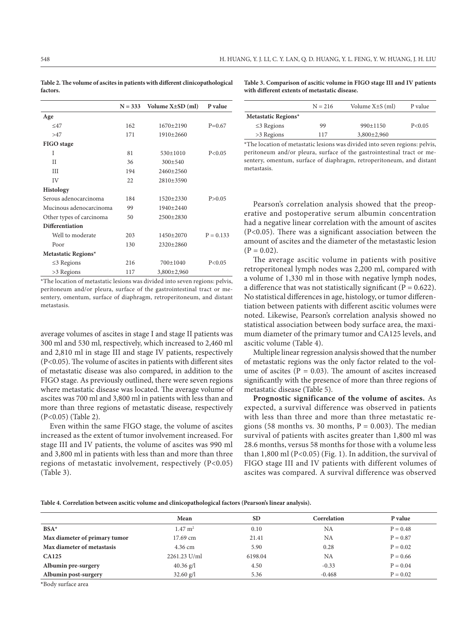|                          | $N = 333$ | Volume $X \pm SD$ (ml) | P value     |
|--------------------------|-----------|------------------------|-------------|
| Age                      |           |                        |             |
| <17                      | 162       | $1670 + 2190$          | $P=0.67$    |
| >47                      | 171       | 1910±2660              |             |
| FIGO stage               |           |                        |             |
| T                        | 81        | 530±1010               | P < 0.05    |
| Н                        | 36        | $300 \pm 540$          |             |
| ΠI                       | 194       | $2460+2560$            |             |
| IV                       | 22        | 2810±3590              |             |
| Histology                |           |                        |             |
| Serous adenocarcinoma    | 184       | 1520±2330              | P > 0.05    |
| Mucinous adenocarcinoma  | 99        | $1940 + 2440$          |             |
| Other types of carcinoma | 50        | 2500±2830              |             |
| <b>Differentiation</b>   |           |                        |             |
| Well to moderate         | 203       | 1450±2070              | $P = 0.133$ |
| Poor                     | 130       | 2320±2860              |             |
| Metastatic Regions*      |           |                        |             |
| $\leq$ 3 Regions         | 216       | $700+1040$             | P < 0.05    |
| >3 Regions               | 117       | 3,800±2,960            |             |

**Table 2. The volume of ascites in patients with different clinicopathological factors.**

\*The location of metastatic lesions was divided into seven regions: pelvis, peritoneum and/or pleura, surface of the gastrointestinal tract or mesentery, omentum, surface of diaphragm, retroperitoneum, and distant metastasis.

average volumes of ascites in stage I and stage II patients was 300 ml and 530 ml, respectively, which increased to 2,460 ml and 2,810 ml in stage III and stage IV patients, respectively (P<0.05). The volume of ascites in patients with different sites of metastatic disease was also compared, in addition to the FIGO stage. As previously outlined, there were seven regions where metastatic disease was located. The average volume of ascites was 700 ml and 3,800 ml in patients with less than and more than three regions of metastatic disease, respectively (P<0.05) (Table 2).

Even within the same FIGO stage, the volume of ascites increased as the extent of tumor involvement increased. For stage III and IV patients, the volume of ascites was 990 ml and 3,800 ml in patients with less than and more than three regions of metastatic involvement, respectively (P<0.05) (Table 3).

**Table 3. Comparison of ascitic volume in FIGO stage III and IV patients with different extents of metastatic disease.**

|                     | $N = 216$ | Volume $X\pm S$ (ml) | P value  |
|---------------------|-----------|----------------------|----------|
| Metastatic Regions* |           |                      |          |
| $\leq$ 3 Regions    | 99        | $990+1150$           | P < 0.05 |
| >3 Regions          | 117       | $3,800\pm2,960$      |          |
|                     |           |                      |          |

\*The location of metastatic lesions was divided into seven regions: pelvis, peritoneum and/or pleura, surface of the gastrointestinal tract or mesentery, omentum, surface of diaphragm, retroperitoneum, and distant metastasis.

Pearson's correlation analysis showed that the preoperative and postoperative serum albumin concentration had a negative linear correlation with the amount of ascites (P<0.05). There was a significant association between the amount of ascites and the diameter of the metastastic lesion  $(P = 0.02)$ .

The average ascitic volume in patients with positive retroperitoneal lymph nodes was 2,200 ml, compared with a volume of 1,330 ml in those with negative lymph nodes, a difference that was not statistically significant ( $\overline{P} = 0.622$ ). No statistical differences in age, histology, or tumor differentiation between patients with different ascitic volumes were noted. Likewise, Pearson's correlation analysis showed no statistical association between body surface area, the maximum diameter of the primary tumor and CA125 levels, and ascitic volume (Table 4).

Multiple linear regression analysis showed that the number of metastatic regions was the only factor related to the volume of ascites ( $P = 0.03$ ). The amount of ascites increased significantly with the presence of more than three regions of metastatic disease (Table 5).

**Prognostic significance of the volume of ascites.** As expected, a survival difference was observed in patients with less than three and more than three metastatic regions (58 months vs. 30 months,  $P = 0.003$ ). The median survival of patients with ascites greater than 1,800 ml was 28.6 months, versus 58 months for those with a volume less than 1,800 ml (P<0.05) (Fig. 1). In addition, the survival of FIGO stage III and IV patients with different volumes of ascites was compared. A survival difference was observed

**Table 4. Correlation between ascitic volume and clinicopathological factors (Pearson's linear analysis).**

|                               | Mean               | <b>SD</b> | Correlation | P value    |
|-------------------------------|--------------------|-----------|-------------|------------|
| $BSA*$                        | $1.47 \text{ m}^2$ | 0.10      | <b>NA</b>   | $P = 0.48$ |
| Max diameter of primary tumor | 17.69 cm           | 21.41     | NA          | $P = 0.87$ |
| Max diameter of metastasis    | 4.36 cm            | 5.90      | 0.28        | $P = 0.02$ |
| <b>CA125</b>                  | 2261.23 U/ml       | 6198.04   | NA          | $P = 0.66$ |
| Albumin pre-surgery           | $40.36$ g/l        | 4.50      | $-0.33$     | $P = 0.04$ |
| Albumin post-surgery          | $32.60$ g/l        | 5.36      | $-0.468$    | $P = 0.02$ |
|                               |                    |           |             |            |

**\***Body surface area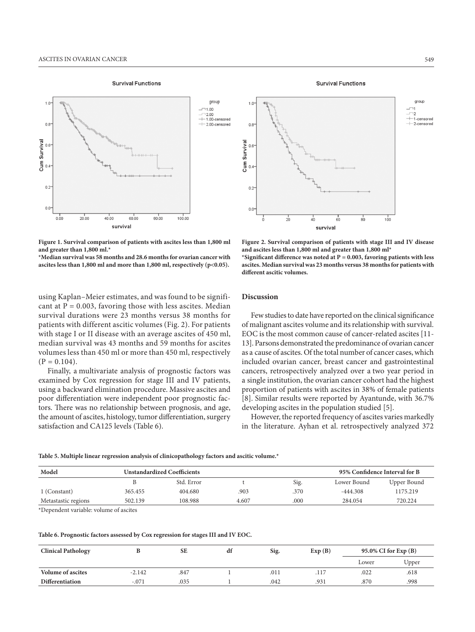**Survival Functions** 



**Figure 1. Survival comparison of patients with ascites less than 1,800 ml and greater than 1,800 ml.\***

**\*Median survival was 58 months and 28.6 months for ovarian cancer with ascites less than 1,800 ml and more than 1,800 ml, respectively (p<0.05).**

using Kaplan–Meier estimates, and was found to be significant at  $P = 0.003$ , favoring those with less ascites. Median survival durations were 23 months versus 38 months for patients with different ascitic volumes (Fig. 2). For patients with stage I or II disease with an average ascites of 450 ml, median survival was 43 months and 59 months for ascites volumes less than 450 ml or more than 450 ml, respectively  $(P = 0.104)$ .

Finally, a multivariate analysis of prognostic factors was examined by Cox regression for stage III and IV patients, using a backward elimination procedure. Massive ascites and poor differentiation were independent poor prognostic factors. There was no relationship between prognosis, and age, the amount of ascites, histology, tumor differentiation, surgery satisfaction and CA125 levels (Table 6).

**Survival Functions** 



**Figure 2. Survival comparison of patients with stage III and IV disease and ascites less than 1,800 ml and greater than 1,800 ml\***

**\*Significant difference was noted at P = 0.003, favoring patients with less ascites. Median survival was 23 months versus 38 months for patients with different ascitic volumes.**

## **Discussion**

Few studies to date have reported on the clinical significance of malignant ascites volume and its relationship with survival. EOC is the most common cause of cancer-related ascites [11- 13]. Parsons demonstrated the predominance of ovarian cancer as a cause of ascites. Of the total number of cancer cases, which included ovarian cancer, breast cancer and gastrointestinal cancers, retrospectively analyzed over a two year period in a single institution, the ovarian cancer cohort had the highest proportion of patients with ascites in 38% of female patients [8]. Similar results were reported by Ayantunde, with 36.7% developing ascites in the population studied [5].

However, the reported frequency of ascites varies markedly in the literature. Ayhan et al. retrospectively analyzed 372

**Table 5. Multiple linear regression analysis of clinicopathology factors and ascitic volume.\***

| Model               |         | <b>Unstandardized Coefficients</b> |       |      | 95% Confidence Interval for B |             |  |
|---------------------|---------|------------------------------------|-------|------|-------------------------------|-------------|--|
|                     |         | Std. Error                         |       | Sig. | Lower Bound                   | Upper Bound |  |
| 1 (Constant)        | 365.455 | 404.680                            | .903  | .370 | $-444.308$                    | 1175.219    |  |
| Metastastic regions | 502.139 | 108.988                            | 4.607 | .000 | 284.054                       | 720.224     |  |

\*Dependent variable: volume of ascites

**Table 6. Prognostic factors assessed by Cox regression for stages III and IV EOC.**

| <b>Clinical Pathology</b> |          | <b>SE</b> | df | Sig. | Exp(B) | 95.0% CI for Exp (B) |       |
|---------------------------|----------|-----------|----|------|--------|----------------------|-------|
|                           |          |           |    |      |        | Lower                | Upper |
| <b>Volume of ascites</b>  | $-2.142$ | .847      |    | .011 |        | .022                 | .618  |
| <b>Differentiation</b>    | -.071    | .035      |    | .042 | .931   | .870                 | .998  |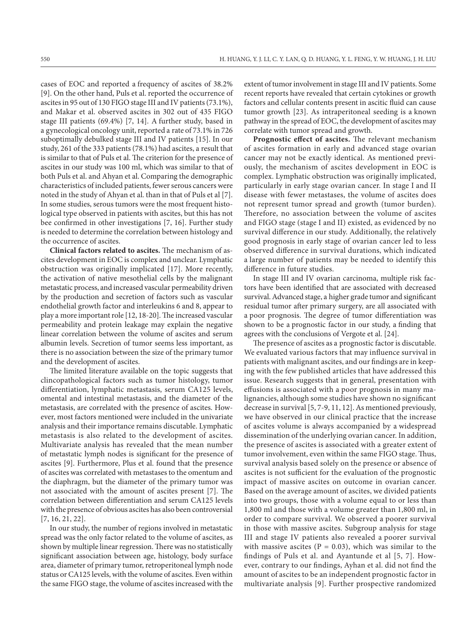cases of EOC and reported a frequency of ascites of 38.2% [9]. On the other hand, Puls et al. reported the occurrence of ascites in 95 out of 130 FIGO stage III and IV patients (73.1%), and Makar et al. observed ascites in 302 out of 435 FIGO stage III patients (69.4%) [7, 14]. A further study, based in a gynecological oncology unit, reported a rate of 73.1% in 726 suboptimally debulked stage III and IV patients [15]. In our study, 261 of the 333 patients (78.1%) had ascites, a result that is similar to that of Puls et al. The criterion for the presence of ascites in our study was 100 ml, which was similar to that of both Puls et al. and Ahyan et al. Comparing the demographic characteristics of included patients, fewer serous cancers were noted in the study of Ahyan et al. than in that of Puls et al [7]. In some studies, serous tumors were the most frequent histological type observed in patients with ascites, but this has not bee confirmed in other investigations [7, 16]. Further study is needed to determine the correlation between histology and the occurrence of ascites.

**Clinical factors related to ascites.** The mechanism of ascites development in EOC is complex and unclear. Lymphatic obstruction was originally implicated [17]. More recently, the activation of native mesothelial cells by the malignant metastatic process, and increased vascular permeability driven by the production and secretion of factors such as vascular endothelial growth factor and interleukins 6 and 8, appear to play a more important role [12, 18-20]. The increased vascular permeability and protein leakage may explain the negative linear correlation between the volume of ascites and serum albumin levels. Secretion of tumor seems less important, as there is no association between the size of the primary tumor and the development of ascites.

The limited literature available on the topic suggests that clincopathological factors such as tumor histology, tumor differentiation, lymphatic metastasis, serum CA125 levels, omental and intestinal metastasis, and the diameter of the metastasis, are correlated with the presence of ascites. However, most factors mentioned were included in the univariate analysis and their importance remains discutable. Lymphatic metastasis is also related to the development of ascites. Multivariate analysis has revealed that the mean number of metastatic lymph nodes is significant for the presence of ascites [9]. Furthermore, Plus et al. found that the presence of ascites was correlated with metastases to the omentum and the diaphragm, but the diameter of the primary tumor was not associated with the amount of ascites present [7]. The correlation between differentiation and serum CA125 levels with the presence of obvious ascites has also been controversial [7, 16, 21, 22].

In our study, the number of regions involved in metastatic spread was the only factor related to the volume of ascites, as shown by multiple linear regression. There was no statistically significant association between age, histology, body surface area, diameter of primary tumor, retroperitoneal lymph node status or CA125 levels, with the volume of ascites. Even within the same FIGO stage, the volume of ascites increased with the extent of tumor involvement in stage III and IV patients. Some recent reports have revealed that certain cytokines or growth factors and cellular contents present in ascitic fluid can cause tumor growth [23]. As intraperitoneal seeding is a known pathway in the spread of EOC, the development of ascites may correlate with tumor spread and growth.

**Prognostic effect of ascites.** The relevant mechanism of ascites formation in early and advanced stage ovarian cancer may not be exactly identical. As mentioned previously, the mechanism of ascites development in EOC is complex. Lymphatic obstruction was originally implicated, particularly in early stage ovarian cancer. In stage I and II disease with fewer metastases, the volume of ascites does not represent tumor spread and growth (tumor burden). Therefore, no association between the volume of ascites and FIGO stage (stage I and II) existed, as evidenced by no survival difference in our study. Additionally, the relatively good prognosis in early stage of ovarian cancer led to less observed difference in survival durations, which indicated a large number of patients may be needed to identify this difference in future studies.

In stage III and IV ovarian carcinoma, multiple risk factors have been identified that are associated with decreased survival. Advanced stage, a higher grade tumor and significant residual tumor after primary surgery, are all associated with a poor prognosis. The degree of tumor differentiation was shown to be a prognostic factor in our study, a finding that agrees with the conclusions of Vergote et al. [24].

The presence of ascites as a prognostic factor is discutable. We evaluated various factors that may influence survival in patients with malignant ascites, and our findings are in keeping with the few published articles that have addressed this issue. Research suggests that in general, presentation with effusions is associated with a poor prognosis in many malignancies, although some studies have shown no significant decrease in survival [5, 7-9, 11, 12]. As mentioned previously, we have observed in our clinical practice that the increase of ascites volume is always accompanied by a widespread dissemination of the underlying ovarian cancer. In addition, the presence of ascites is associated with a greater extent of tumor involvement, even within the same FIGO stage. Thus, survival analysis based solely on the presence or absence of ascites is not sufficient for the evaluation of the prognostic impact of massive ascites on outcome in ovarian cancer. Based on the average amount of ascites, we divided patients into two groups, those with a volume equal to or less than 1,800 ml and those with a volume greater than 1,800 ml, in order to compare survival. We observed a poorer survival in those with massive ascites. Subgroup analysis for stage III and stage IV patients also revealed a poorer survival with massive ascites ( $P = 0.03$ ), which was similar to the findings of Puls et al. and Ayantunde et al [5, 7]. However, contrary to our findings, Ayhan et al. did not find the amount of ascites to be an independent prognostic factor in multivariate analysis [9]. Further prospective randomized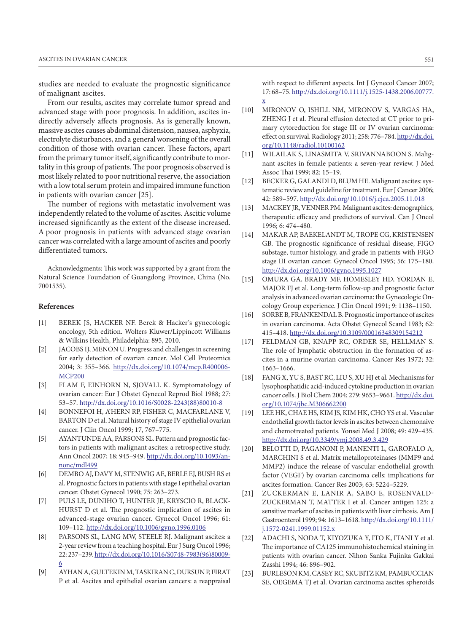studies are needed to evaluate the prognostic significance of malignant ascites.

From our results, ascites may correlate tumor spread and advanced stage with poor prognosis. In addition, ascites indirectly adversely affects prognosis. As is generally known, massive ascites causes abdominal distension, nausea, asphyxia, electrolyte disturbances, and a general worsening of the overall condition of those with ovarian cancer. These factors, apart from the primary tumor itself, significantly contribute to mortality in this group of patients. The poor prognosis observed is most likely related to poor nutritional reserve, the association with a low total serum protein and impaired immune function in patients with ovarian cancer [25].

The number of regions with metastatic involvement was independently related to the volume of ascites. Ascitic volume increased significantly as the extent of the disease increased. A poor prognosis in patients with advanced stage ovarian cancer was correlated with a large amount of ascites and poorly differentiated tumors.

Acknowledgments: This work was supported by a grant from the Natural Science Foundation of Guangdong Province, China (No. 7001535).

## **References**

- [1] BEREK JS, HACKER NF. Berek & Hacker's gynecologic oncology, 5th edition. Wolters Kluwer/Lippincott Williams & Wilkins Health, Philadelphia: 895, 2010.
- [2] JACOBS IJ, MENON U. Progress and challenges in screening for early detection of ovarian cancer. Mol Cell Proteomics 2004; 3: 355–366. [http://dx.doi.org/10.1074/mcp.R400006-](http://dx.doi.org/10.1074/mcp.R400006-MCP200) [MCP200](http://dx.doi.org/10.1074/mcp.R400006-MCP200)
- [3] FLAM F, EINHORN N, SJOVALL K. Symptomatology of ovarian cancer: Eur J Obstet Gynecol Reprod Biol 1988; 27: 53–57. [http://dx.doi.org/10.1016/S0028-2243\(88\)80010-8](http://dx.doi.org/10.1016/S0028-2243%2888%2980010-8)
- [4] BONNEFOI H, A'HERN RP, FISHER C, MACFARLANE V, BARTON D et al. Natural history of stage IV epithelial ovarian cancer. J Clin Oncol 1999; 17, 767–775.
- [5] AYANTUNDE AA, PARSONS SL. Pattern and prognostic factors in patients with malignant ascites: a retrospective study. Ann Oncol 2007; 18: 945–949. [http://dx.doi.org/10.1093/an](http://dx.doi.org/10.1093/annonc/mdl499)[nonc/mdl499](http://dx.doi.org/10.1093/annonc/mdl499)
- [6] DEMBO AJ, DAVY M, STENWIG AE, BERLE EJ, BUSH RS et al. Prognostic factors in patients with stage I epithelial ovarian cancer. Obstet Gynecol 1990; 75: 263–273.
- [7] PULS LE, DUNIHO T, HUNTER JE, KRYSCIO R, BLACK-HURST D et al. The prognostic implication of ascites in advanced-stage ovarian cancer. Gynecol Oncol 1996; 61: 109–112.<http://dx.doi.org/10.1006/gyno.1996.0106>
- [8] PARSONS SL, LANG MW, STEELE RJ. Malignant ascites: a 2-year review from a teaching hospital. Eur J Surg Oncol 1996; 22: 237–239. [http://dx.doi.org/10.1016/S0748-7983\(96\)80009-](http://dx.doi.org/10.1016/S0748-7983%2896%2980009-6) [6](http://dx.doi.org/10.1016/S0748-7983%2896%2980009-6)
- [9] AYHAN A, GULTEKIN M, TASKIRAN C, DURSUN P, FIRAT P et al. Ascites and epithelial ovarian cancers: a reappraisal

with respect to different aspects. Int J Gynecol Cancer 2007; 17: 68–75. [http://dx.doi.org/10.1111/j.1525-1438.2006.00777.](http://dx.doi.org/10.1111/j.1525-1438.2006.00777.x) [x](http://dx.doi.org/10.1111/j.1525-1438.2006.00777.x)

- [10] MIRONOV O, ISHILL NM, MIRONOV S, VARGAS HA, ZHENG J et al. Pleural effusion detected at CT prior to primary cytoreduction for stage III or IV ovarian carcinoma: effect on survival. Radiology 2011; 258: 776–784. [http://dx.doi.](http://dx.doi.org/10.1148/radiol.10100162) [org/10.1148/radiol.10100162](http://dx.doi.org/10.1148/radiol.10100162)
- [11] WILAILAK S, LINASMITA V, SRIVANNABOON S. Malignant ascites in female patients: a seven-year review. J Med Assoc Thai 1999; 82: 15–19.
- [12] BECKER G, GALANDI D, BLUM HE. Malignant ascites: systematic review and guideline for treatment. Eur J Cancer 2006; 42: 589–597.<http://dx.doi.org/10.1016/j.ejca.2005.11.018>
- [13] MACKEY JR, VENNER PM. Malignant ascites: demographics, therapeutic efficacy and predictors of survival. Can J Oncol 1996; 6: 474–480.
- [14] MAKAR AP, BAEKELANDT M, TROPE CG, KRISTENSEN GB. The prognostic significance of residual disease, FIGO substage, tumor histology, and grade in patients with FIGO stage III ovarian cancer. Gynecol Oncol 1995; 56: 175–180. <http://dx.doi.org/10.1006/gyno.1995.1027>
- [15] OMURA GA, BRADY MF, HOMESLEY HD, YORDAN E, MAJOR FJ et al. Long-term follow-up and prognostic factor analysis in advanced ovarian carcinoma: the Gynecologic Oncology Group experience. J Clin Oncol 1991; 9: 1138–1150.
- [16] SORBE B, FRANKENDAL B. Prognostic importance of ascites in ovarian carcinoma. Acta Obstet Gynecol Scand 1983; 62: 415–418. <http://dx.doi.org/10.3109/00016348309154212>
- [17] FELDMAN GB, KNAPP RC, ORDER SE, HELLMAN S. The role of lymphatic obstruction in the formation of ascites in a murine ovarian carcinoma. Cancer Res 1972; 32: 1663–1666.
- [18] FANG X, YU S, BAST RC, LIU S, XU HJ et al. Mechanisms for lysophosphatidic acid-induced cytokine production in ovarian cancer cells. J Biol Chem 2004; 279: 9653–9661. [http://dx.doi.](http://dx.doi.org/10.1074/jbc.M306662200) [org/10.1074/jbc.M306662200](http://dx.doi.org/10.1074/jbc.M306662200)
- [19] LEE HK, CHAE HS, KIM JS, KIM HK, CHO YS et al. Vascular endothelial growth factor levels in ascites between chemonaive and chemotreated patients. Yonsei Med J 2008; 49: 429–435. <http://dx.doi.org/10.3349/ymj.2008.49.3.429>
- [20] BELOTTI D, PAGANONI P, MANENTI L, GAROFALO A, MARCHINI S et al. Matrix metalloproteinases (MMP9 and MMP2) induce the release of vascular endothelial growth factor (VEGF) by ovarian carcinoma cells: implications for ascites formation. Cancer Res 2003; 63: 5224–5229.
- [21] ZUCKERMAN E, LANIR A, SABO E, ROSENVALD-ZUCKERMAN T, MATTER I et al. Cancer antigen 125: a sensitive marker of ascites in patients with liver cirrhosis. Am J Gastroenterol 1999; 94: 1613–1618. [http://dx.doi.org/10.1111/](http://dx.doi.org/10.1111/j.1572-0241.1999.01152.x) [j.1572-0241.1999.01152.x](http://dx.doi.org/10.1111/j.1572-0241.1999.01152.x)
- [22] ADACHI S, NODA T, KIYOZUKA Y, ITO K, ITANI Y et al. The importance of CA125 immunohistochemical staining in patients with ovarian cancer. Nihon Sanka Fujinka Gakkai Zasshi 1994; 46: 896–902.
- [23] BURLESON KM, CASEY RC, SKUBITZ KM, PAMBUCCIAN SE, OEGEMA TJ et al. Ovarian carcinoma ascites spheroids